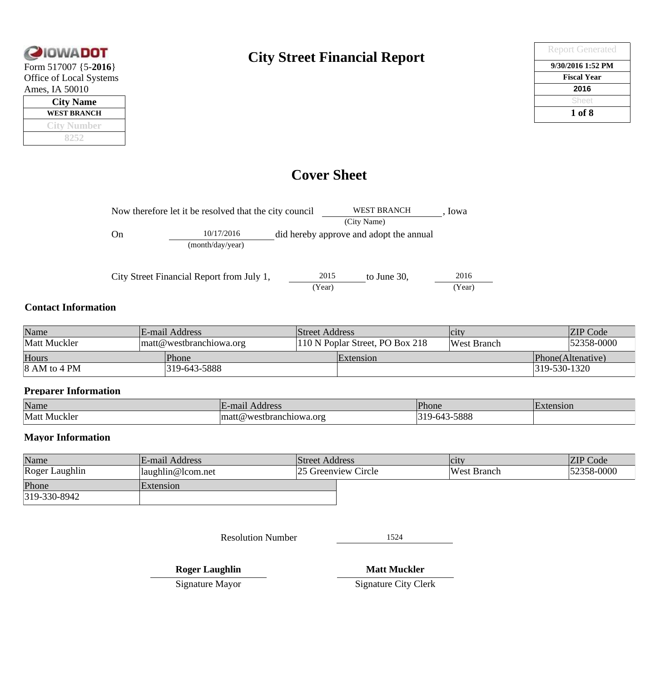

| <b>City Name</b>   |  |  |  |  |
|--------------------|--|--|--|--|
| <b>WEST BRANCH</b> |  |  |  |  |
| <b>City Number</b> |  |  |  |  |
|                    |  |  |  |  |

### **City Street Financial Report**

| <b>Report Generated</b> |
|-------------------------|
| 9/30/2016 1:52 PM       |
| <b>Fiscal Year</b>      |
| 2016                    |
| Sheet                   |
| 1 of 8                  |

### **Cover Sheet**

| Now therefore let it be resolved that the city council |                                           |  |      | <b>WEST BRANCH</b>                      | Iowa |
|--------------------------------------------------------|-------------------------------------------|--|------|-----------------------------------------|------|
|                                                        |                                           |  |      | (City Name)                             |      |
| On                                                     | 10/17/2016                                |  |      | did hereby approve and adopt the annual |      |
|                                                        | (month/day/year)                          |  |      |                                         |      |
|                                                        |                                           |  |      |                                         |      |
|                                                        | City Street Financial Report from July 1, |  | 2015 | to June $30$ ,                          | 2016 |

#### **Contact Information**

| Name                                                |  | E-mail Address                  | Street Address |                    | $ $ C <sub>1</sub> ty |              | <b>ZIP</b> Code   |
|-----------------------------------------------------|--|---------------------------------|----------------|--------------------|-----------------------|--------------|-------------------|
| Matt Muckler<br>$\mathbf{m}$ att@westbranchiowa.org |  | 110 N Poplar Street, PO Box 218 |                | <b>West Branch</b> |                       | 52358-0000   |                   |
| Hours                                               |  | Phone                           |                | <b>Extension</b>   |                       |              | Phone(Altenative) |
| $ 8 \text{ AM}$ to 4 PM                             |  | 319-643-5888                    |                |                    |                       | 319-530-1320 |                   |

#### **Preparer Information**

| Name            | mai<br>Address                                | Phone       | . .<br>nsion |
|-----------------|-----------------------------------------------|-------------|--------------|
| Matt<br>Muckler | ors<br>10W <sub>2</sub><br>mа<br>estbranc<br> | FOO<br>ാറററ |              |

#### **Mayor Information**

| Name           | E-mail Address              | <b>Street Address</b> | $ $ C1ty           | <b>ZIP</b> Code |
|----------------|-----------------------------|-----------------------|--------------------|-----------------|
| Roger Laughlin | $\langle$ laughlin@lcom.net | 25 Greenview Circle   | <b>West Branch</b> | 52358-0000      |
| Phone          | Extension                   |                       |                    |                 |
| 319-330-8942   |                             |                       |                    |                 |

Resolution Number 1524

(Year) (Year)

**Roger Laughlin**

**Matt Muckler**

Signature Mayor

Signature City Clerk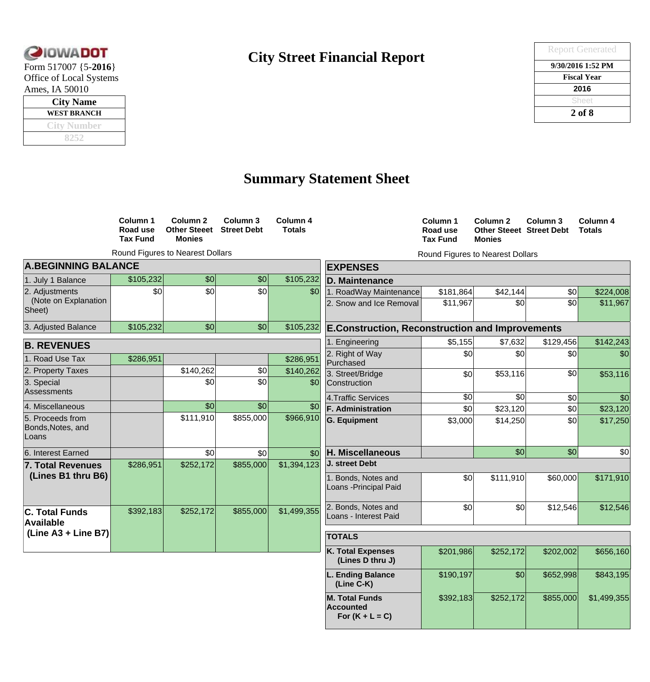

| <b>City Name</b> |  |  |  |  |
|------------------|--|--|--|--|
| WEST BRANCH      |  |  |  |  |
| City Number      |  |  |  |  |
|                  |  |  |  |  |

## **City Street Financial Report**

| <b>CIOWADOT</b>         | <b>City Street Financial Report</b> | <b>Report Generated</b> |
|-------------------------|-------------------------------------|-------------------------|
| Form $517007$ {5-2016}  |                                     | 9/30/2016 1:52 PM       |
| Office of Local Systems |                                     | <b>Fiscal Year</b>      |
| Ames, IA 50010          |                                     | 2016                    |
| <b>City Name</b>        |                                     | Sheet                   |
| <b>WEST BRANCH</b>      |                                     | $2$ of $8$              |
|                         |                                     |                         |

## **Summary Statement Sheet**

|                                                | Column 1<br>Road use<br><b>Tax Fund</b> | Column <sub>2</sub><br><b>Other Steeet</b><br><b>Monies</b> | Column 3<br><b>Street Debt</b> | Column 4<br><b>Totals</b> |                                                         | Column 1<br>Road use<br><b>Tax Fund</b> | Column 2<br><b>Other Steeet Street Debt</b><br><b>Monies</b> | Column 3        | Column 4<br><b>Totals</b> |
|------------------------------------------------|-----------------------------------------|-------------------------------------------------------------|--------------------------------|---------------------------|---------------------------------------------------------|-----------------------------------------|--------------------------------------------------------------|-----------------|---------------------------|
|                                                |                                         | Round Figures to Nearest Dollars                            |                                |                           |                                                         |                                         | Round Figures to Nearest Dollars                             |                 |                           |
| <b>A.BEGINNING BALANCE</b>                     |                                         |                                                             |                                |                           | <b>EXPENSES</b>                                         |                                         |                                                              |                 |                           |
| 1. July 1 Balance                              | \$105,232                               | $\vert \mathcal{S}0 \vert$                                  | $\vert \mathcal{S}0 \vert$     | \$105,232                 | D. Maintenance                                          |                                         |                                                              |                 |                           |
| 2. Adjustments                                 | $\vert \mathcal{S}0 \vert$              | 30                                                          | $\frac{1}{20}$                 | \$0                       | 1. RoadWay Maintenance                                  | \$181,864                               | \$42,144                                                     | $\frac{1}{2}$   | \$224,008                 |
| (Note on Explanation<br>Sheet)                 |                                         |                                                             |                                |                           | 2. Snow and Ice Removal                                 | \$11,967                                | $\overline{30}$                                              | $\overline{30}$ | \$11,967                  |
| 3. Adjusted Balance                            | \$105,232                               | $\vert \mathcal{S}$                                         | $\vert \mathcal{S}0 \vert$     | \$105,232                 | <b>E.Construction, Reconstruction and Improvements</b>  |                                         |                                                              |                 |                           |
| <b>B. REVENUES</b>                             |                                         |                                                             |                                |                           | 1. Engineering                                          | \$5,155                                 | \$7,632                                                      | \$129,456       | \$142,243                 |
| 1. Road Use Tax                                | \$286,951                               |                                                             |                                | \$286,951                 | 2. Right of Way<br>Purchased                            | $\mathcal{S}$                           | $\frac{1}{20}$                                               | $\frac{1}{2}$   | \$0                       |
| 2. Property Taxes                              |                                         | \$140,262                                                   | $ 10\rangle$                   | \$140,262                 | 3. Street/Bridge                                        | \$0                                     | \$53,116                                                     | $\overline{30}$ | \$53,116                  |
| 3. Special<br>Assessments                      |                                         | \$0                                                         | $\frac{1}{2}$                  | \$0                       | Construction                                            |                                         |                                                              |                 |                           |
|                                                |                                         |                                                             |                                |                           | 4. Traffic Services                                     | $\overline{30}$                         | \$0                                                          | \$0             | \$0                       |
| 4. Miscellaneous                               |                                         | $\vert \mathcal{S}0 \vert$                                  | \$0                            | \$0                       | <b>F. Administration</b>                                | $\frac{1}{20}$                          | \$23,120                                                     | \$0             | \$23,120                  |
| 5. Proceeds from<br>Bonds, Notes, and<br>Loans |                                         | \$111,910                                                   | \$855,000                      | \$966,910                 | <b>G. Equipment</b>                                     | \$3,000                                 | \$14,250                                                     | $ 10\rangle$    | \$17,250                  |
| 6. Interest Earned                             |                                         | 30                                                          | $\frac{1}{2}$                  | \$0                       | H. Miscellaneous                                        |                                         | $\vert \mathcal{S}0 \vert$                                   | \$0             | \$0                       |
| <b>7. Total Revenues</b>                       | \$286,951                               | \$252,172                                                   | \$855,000                      | \$1,394,123               | J. street Debt                                          |                                         |                                                              |                 |                           |
| (Lines B1 thru B6)                             |                                         |                                                             |                                |                           | 1. Bonds, Notes and<br>Loans - Principal Paid           | \$0                                     | \$111,910                                                    | \$60,000        | \$171,910                 |
| <b>C. Total Funds</b><br>Available             | \$392,183                               | \$252,172                                                   | \$855,000                      | \$1,499,355               | 2. Bonds, Notes and<br>Loans - Interest Paid            | \$0                                     | \$0                                                          | \$12,546        | \$12,546                  |
| (Line A3 + Line B7)                            |                                         |                                                             |                                |                           | <b>TOTALS</b>                                           |                                         |                                                              |                 |                           |
|                                                |                                         |                                                             |                                |                           | <b>K. Total Expenses</b><br>(Lines D thru J)            | \$201,986                               | \$252,172                                                    | \$202,002       | \$656,160                 |
|                                                |                                         |                                                             |                                |                           | L. Ending Balance<br>(Line C-K)                         | \$190,197                               | $\vert \mathcal{S}0 \vert$                                   | \$652,998       | \$843,195                 |
|                                                |                                         |                                                             |                                |                           | <b>M. Total Funds</b><br>Accounted<br>For $(K + L = C)$ | \$392,183                               | \$252,172                                                    | \$855,000       | \$1,499,355               |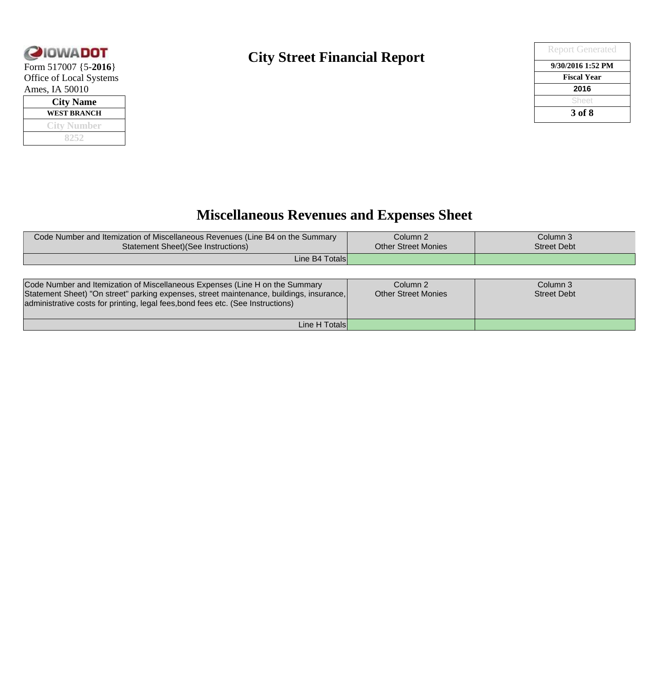

| <b>City Name</b> |  |  |  |  |  |
|------------------|--|--|--|--|--|
| WEST BRANCH      |  |  |  |  |  |
| City Number      |  |  |  |  |  |
|                  |  |  |  |  |  |

### **City Street Financial Report**

| <b>QIOWADOT</b>         | <b>City Street Financial Report</b> | <b>Report Generated</b> |
|-------------------------|-------------------------------------|-------------------------|
| Form $517007$ {5-2016}  |                                     | 9/30/2016 1:52 PM       |
| Office of Local Systems |                                     | <b>Fiscal Year</b>      |
| Ames, IA 50010          |                                     | 2016                    |
| <b>City Name</b>        |                                     | Sheet                   |
| <b>WEST BRANCH</b>      |                                     | 3 of 8                  |
| _________               |                                     |                         |

## **Miscellaneous Revenues and Expenses Sheet**

| Code Number and Itemization of Miscellaneous Revenues (Line B4 on the Summary<br><b>Statement Sheet)</b> (See Instructions)                                                                                                                                  | Column <sub>2</sub><br><b>Other Street Monies</b> | Column 3<br><b>Street Debt</b> |
|--------------------------------------------------------------------------------------------------------------------------------------------------------------------------------------------------------------------------------------------------------------|---------------------------------------------------|--------------------------------|
| Line B4 Totals                                                                                                                                                                                                                                               |                                                   |                                |
|                                                                                                                                                                                                                                                              |                                                   |                                |
| Code Number and Itemization of Miscellaneous Expenses (Line H on the Summary<br>Statement Sheet) "On street" parking expenses, street maintenance, buildings, insurance,<br>administrative costs for printing, legal fees, bond fees etc. (See Instructions) | Column 2<br>Other Street Monies                   | Column 3<br><b>Street Debt</b> |
| Line H Totals                                                                                                                                                                                                                                                |                                                   |                                |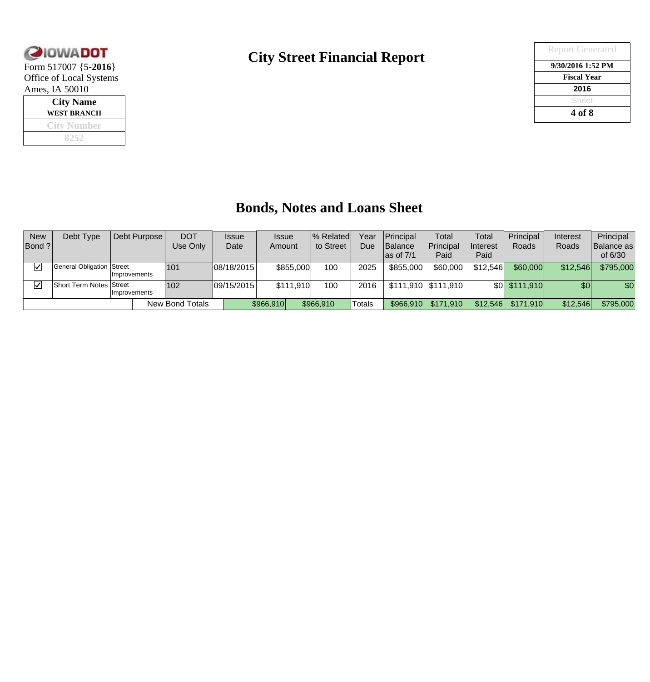

| <b>City Name</b>   |  |  |  |  |  |  |
|--------------------|--|--|--|--|--|--|
| WEST BRANCH        |  |  |  |  |  |  |
| <b>City Number</b> |  |  |  |  |  |  |
|                    |  |  |  |  |  |  |

#### **City Street Financial Report**

| <b>QIOWADOT</b>         | <b>City Street Financial Report</b> | <b>Report Generated</b> |
|-------------------------|-------------------------------------|-------------------------|
| Form $517007$ {5-2016}  |                                     | 9/30/2016 1:52 PM       |
| Office of Local Systems |                                     | <b>Fiscal Year</b>      |
| Ames, IA 50010          |                                     | 2016                    |
| <b>City Name</b>        |                                     | Sheet                   |
| <b>WEST BRANCH</b>      |                                     | 4 of 8                  |
|                         |                                     |                         |

### **Bonds, Notes and Loans Sheet**

| <b>New</b><br>Bond ? | Debt Type                      | Debt Purpose  | <b>DOT</b><br>Use Onlv | <b>Issue</b><br>Date | <b>Issue</b><br>Amount |           | % Related <br>to Street | Year<br>Due | Principal<br><b>Balance</b><br>$\textsf{las of 7/1}$ | Total<br>Principal<br>Paid | Total<br>Interest<br>Paid | Principal<br>Roads | Interest<br>Roads | Principal<br> Balance as<br>of 6/30 |
|----------------------|--------------------------------|---------------|------------------------|----------------------|------------------------|-----------|-------------------------|-------------|------------------------------------------------------|----------------------------|---------------------------|--------------------|-------------------|-------------------------------------|
| $\boxed{\checkmark}$ | General Obligation Street      | Improvements  | 101                    | 08/18/2015           |                        | \$855,000 | 100                     | 2025        | \$855,000                                            | \$60,000                   | \$12,546                  | \$60,000           | \$12,546          | \$795,000                           |
| ☑                    | <b>Short Term Notes Street</b> | Ilmprovements | 102                    | 09/15/2015           |                        | \$111,910 | 100                     | 2016        |                                                      | $$111,910$ $$111,910$      |                           | \$0 \$111,910      | \$0               | \$0                                 |
|                      |                                |               | New Bond Totals        |                      | \$966,910              |           | \$966,910               | Totals      | \$966,910                                            | \$171,910                  | \$12,546                  | \$171,910          | \$12,546          | \$795,000                           |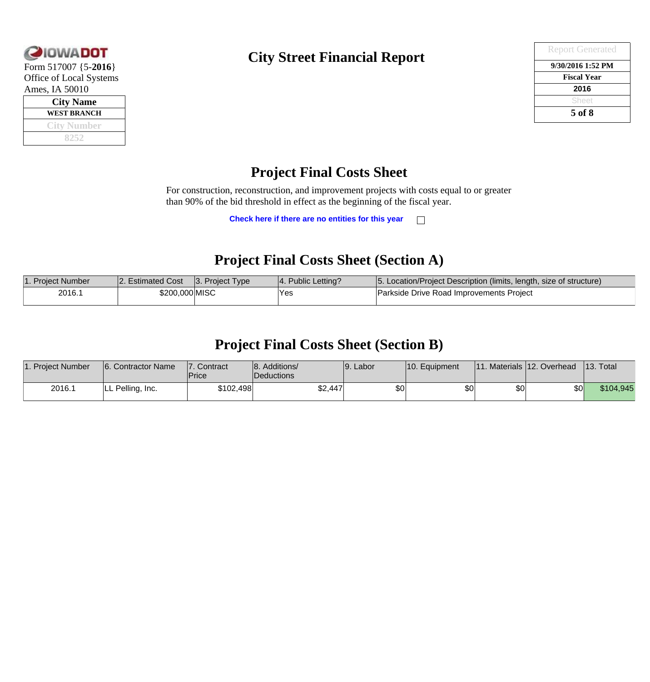

**Form 517007 {5-2016}** Office of Local Systems Ames, IA 50010

| <b>City Name</b>   |  |  |  |  |  |  |
|--------------------|--|--|--|--|--|--|
| <b>WEST BRANCH</b> |  |  |  |  |  |  |
| City Number        |  |  |  |  |  |  |
|                    |  |  |  |  |  |  |

### **City Street Financial Report**

| <b>Report Generated</b> |
|-------------------------|
| 9/30/2016 1:52 PM       |
| <b>Fiscal Year</b>      |
| 2016                    |
| Sheet                   |
| 5 of 8                  |

### **Project Final Costs Sheet**

For construction, reconstruction, and improvement projects with costs equal to or greater than 90% of the bid threshold in effect as the beginning of the fiscal year.

> **Check here if there are no entities for this year**  $\Box$

#### **Project Final Costs Sheet (Section A)**

| 1. Project Number | 2. Estimated Cost | $ 3.$ Project Type | 4. Public Letting? | 5. Location/Project Description (limits, length, size of structure) |
|-------------------|-------------------|--------------------|--------------------|---------------------------------------------------------------------|
| 2016.1            | \$200,000 MISC    |                    | Yes                | Parkside Drive Road Improvements Project                            |

#### **Project Final Costs Sheet (Section B)**

| 1. Project Number | 6. Contractor Name | 17.<br>Contract<br>'Price | 8. Additions/<br>Deductions | 19. Labor        | $ 10.$ Equipment |    | $ 11.$ Materials $ 12.$ Overhead | $ 13.$ Total |
|-------------------|--------------------|---------------------------|-----------------------------|------------------|------------------|----|----------------------------------|--------------|
| 2016.1            | LL Pelling, Inc.   | \$102,498                 | \$2,447                     | \$0 <sub>1</sub> | \$0              | ¢Λ | \$0 <sub>1</sub>                 | \$104,945    |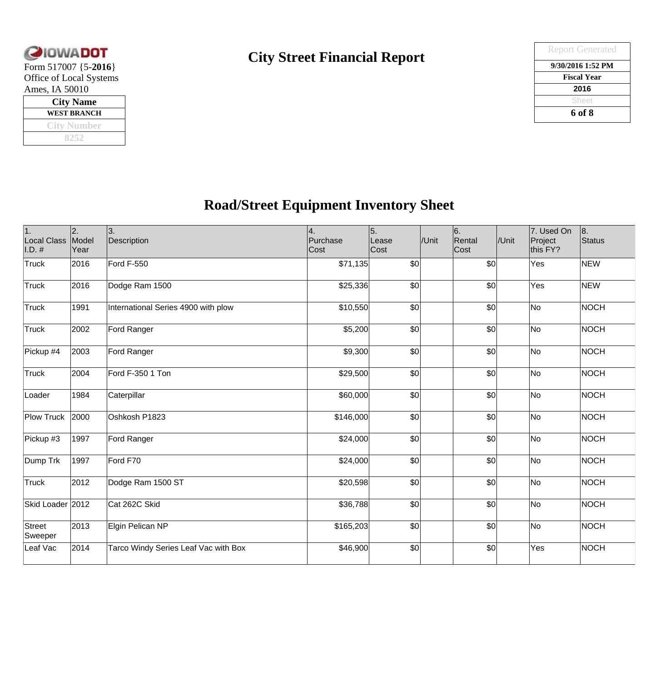

| <b>City Name</b>   |  |  |  |  |  |  |
|--------------------|--|--|--|--|--|--|
| WEST BRANCH        |  |  |  |  |  |  |
| <b>City Number</b> |  |  |  |  |  |  |
|                    |  |  |  |  |  |  |

### **City Street Financial Report**

| <b>QIOWADOT</b>             | <b>City Street Financial Report</b> | <b>Report Generated</b> |
|-----------------------------|-------------------------------------|-------------------------|
| Form $517007$ {5-2016}      |                                     | 9/30/2016 1:52 PM       |
| Office of Local Systems     |                                     | <b>Fiscal Year</b>      |
| Ames, IA 50010              |                                     | 2016                    |
| <b>City Name</b>            |                                     | Sheet                   |
| <b>WEST BRANCH</b>          |                                     | 6 of 8                  |
| $\bigcap Y$ and $\bigcap Y$ |                                     |                         |

## **Road/Street Equipment Inventory Sheet**

| 1.<br>Local Class<br>$ I.D.$ # | 2.<br>Model<br>Year | 3.<br>Description                    | 4.<br>Purchase<br>Cost | 5.<br>Lease<br>Cost | /Unit | 6.<br>Rental<br>Cost | /Unit | 7. Used On<br>Project<br>this FY? | 8.<br>Status |
|--------------------------------|---------------------|--------------------------------------|------------------------|---------------------|-------|----------------------|-------|-----------------------------------|--------------|
| Truck                          | 2016                | Ford F-550                           | \$71,135               | \$0                 |       | \$0                  |       | Yes                               | <b>NEW</b>   |
| Truck                          | 2016                | Dodge Ram 1500                       | \$25,336               | \$0                 |       | 30                   |       | Yes                               | NEW          |
| Truck                          | 1991                | International Series 4900 with plow  | \$10,550               | \$0                 |       | \$0                  |       | No                                | NOCH         |
| Truck                          | 2002                | Ford Ranger                          | \$5,200                | \$0                 |       | 30                   |       | No                                | NOCH         |
| Pickup #4                      | 2003                | Ford Ranger                          | \$9,300                | \$0                 |       | 30                   |       | No                                | NOCH         |
| Truck                          | 2004                | Ford F-350 1 Ton                     | \$29,500               | \$0                 |       | $\vert \$\circ$      |       | No                                | NOCH         |
| Loader                         | 1984                | Caterpillar                          | \$60,000               | \$0                 |       | \$0                  |       | No                                | NOCH         |
| Plow Truck                     | 2000                | Oshkosh P1823                        | \$146,000              | \$0                 |       | \$0                  |       | No                                | NOCH         |
| Pickup #3                      | 1997                | Ford Ranger                          | \$24,000               | \$0                 |       | \$0                  |       | No                                | NOCH         |
| Dump Trk                       | 1997                | Ford F70                             | \$24,000               | \$0                 |       | \$0                  |       | No                                | NOCH         |
| Truck                          | 2012                | Dodge Ram 1500 ST                    | \$20,598               | \$0                 |       | $\vert \$\circ$      |       | No                                | NOCH         |
| Skid Loader 2012               |                     | Cat 262C Skid                        | \$36,788               | \$0                 |       | \$0                  |       | No                                | NOCH         |
| Street<br>Sweeper              | 2013                | Elgin Pelican NP                     | \$165,203              | \$0                 |       | \$0                  |       | No                                | NOCH         |
| Leaf Vac                       | 2014                | Tarco Windy Series Leaf Vac with Box | \$46,900               | \$0                 |       | \$0                  |       | Yes                               | NOCH         |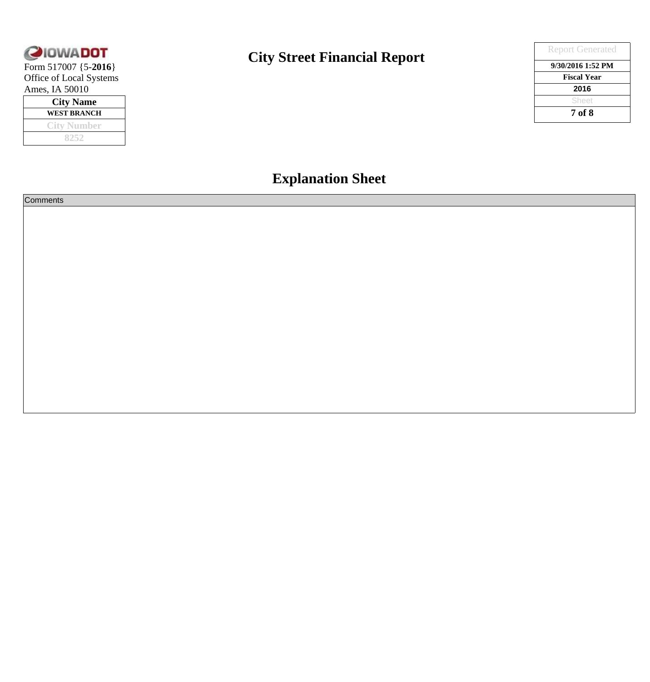

Form 517007 {5-**2016** Office of Local Systems Ames, IA 50010

| <b>City Name</b> |  |  |  |  |  |  |
|------------------|--|--|--|--|--|--|
| WEST BRANCH      |  |  |  |  |  |  |
| City Number      |  |  |  |  |  |  |
| メクミク             |  |  |  |  |  |  |

### **City Street Financial Report**

|    | <b>City Street Financial Report</b> | <b>Report Generated</b> |
|----|-------------------------------------|-------------------------|
|    |                                     | 9/30/2016 1:52 PM       |
| ns |                                     | <b>Fiscal Year</b>      |
|    |                                     | 2016                    |
|    |                                     | Sheet                   |
|    |                                     | 7 of 8                  |

## **Explanation Sheet**

| <b>Comments</b> |  |
|-----------------|--|
|                 |  |
|                 |  |
|                 |  |
|                 |  |
|                 |  |
|                 |  |
|                 |  |
|                 |  |
|                 |  |
|                 |  |
|                 |  |
|                 |  |
|                 |  |
|                 |  |
|                 |  |
|                 |  |
|                 |  |